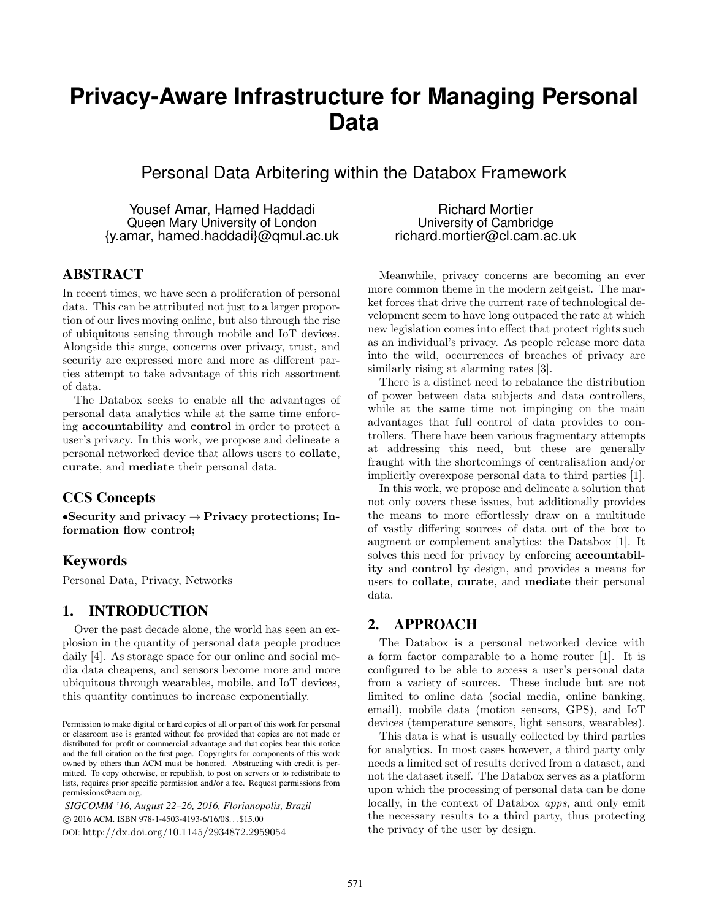# **Privacy-Aware Infrastructure for Managing Personal Data**

Personal Data Arbitering within the Databox Framework

Yousef Amar, Hamed Haddadi Queen Mary University of London {y.amar, hamed.haddadi}@qmul.ac.uk

### ABSTRACT

In recent times, we have seen a proliferation of personal data. This can be attributed not just to a larger proportion of our lives moving online, but also through the rise of ubiquitous sensing through mobile and IoT devices. Alongside this surge, concerns over privacy, trust, and security are expressed more and more as different parties attempt to take advantage of this rich assortment of data.

The Databox seeks to enable all the advantages of personal data analytics while at the same time enforcing accountability and control in order to protect a user's privacy. In this work, we propose and delineate a personal networked device that allows users to collate, curate, and mediate their personal data.

# CCS Concepts

•Security and privacy  $\rightarrow$  Privacy protections; Information flow control;

# Keywords

Personal Data, Privacy, Networks

#### 1. INTRODUCTION

Over the past decade alone, the world has seen an explosion in the quantity of personal data people produce daily [4]. As storage space for our online and social media data cheapens, and sensors become more and more ubiquitous through wearables, mobile, and IoT devices, this quantity continues to increase exponentially.

*SIGCOMM '16, August 22–26, 2016, Florianopolis, Brazil* c 2016 ACM. ISBN 978-1-4503-4193-6/16/08. . . \$15.00 DOI: http://dx.doi.org/10.1145/2934872.2959054

Richard Mortier University of Cambridge richard.mortier@cl.cam.ac.uk

Meanwhile, privacy concerns are becoming an ever more common theme in the modern zeitgeist. The market forces that drive the current rate of technological development seem to have long outpaced the rate at which new legislation comes into effect that protect rights such as an individual's privacy. As people release more data into the wild, occurrences of breaches of privacy are similarly rising at alarming rates [3].

There is a distinct need to rebalance the distribution of power between data subjects and data controllers, while at the same time not impinging on the main advantages that full control of data provides to controllers. There have been various fragmentary attempts at addressing this need, but these are generally fraught with the shortcomings of centralisation and/or implicitly overexpose personal data to third parties [1].

In this work, we propose and delineate a solution that not only covers these issues, but additionally provides the means to more effortlessly draw on a multitude of vastly differing sources of data out of the box to augment or complement analytics: the Databox [1]. It solves this need for privacy by enforcing accountability and control by design, and provides a means for users to collate, curate, and mediate their personal data.

#### 2. APPROACH

The Databox is a personal networked device with a form factor comparable to a home router [1]. It is configured to be able to access a user's personal data from a variety of sources. These include but are not limited to online data (social media, online banking, email), mobile data (motion sensors, GPS), and IoT devices (temperature sensors, light sensors, wearables).

This data is what is usually collected by third parties for analytics. In most cases however, a third party only needs a limited set of results derived from a dataset, and not the dataset itself. The Databox serves as a platform upon which the processing of personal data can be done locally, in the context of Databox apps, and only emit the necessary results to a third party, thus protecting the privacy of the user by design.

Permission to make digital or hard copies of all or part of this work for personal or classroom use is granted without fee provided that copies are not made or distributed for profit or commercial advantage and that copies bear this notice and the full citation on the first page. Copyrights for components of this work owned by others than ACM must be honored. Abstracting with credit is permitted. To copy otherwise, or republish, to post on servers or to redistribute to lists, requires prior specific permission and/or a fee. Request permissions from permissions@acm.org.